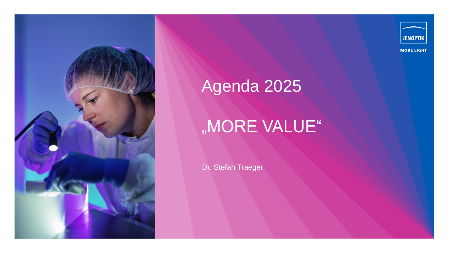



#### **MORE LIGHT**

# Agenda 2025

# "MORE VALUE"

Dr. Stefan Traeger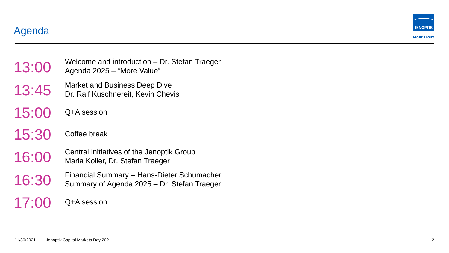Agenda



## 13:00 Welcome and introduction Agenda 2025 – "More Value" Welcome and introduction – Dr. Stefan Traeger 13:45 Market and Business Deep Dive Dr. Ralf Kuschnereit, Kevin Chevis 15:00 Q+A session 15:30 Coffee break 16:00 Central initiatives of the Jenoptik Group<br>Maria Koller, Dr. Stefan Traeger Maria Koller, Dr. Stefan Traeger 16:30 Financial Summary - Hans-Dieter Schumacher<br>
Summary of Agenda 2025 - Dr. Stefan Traeger – Hans -Dieter Schumacher 17:00 Q+A session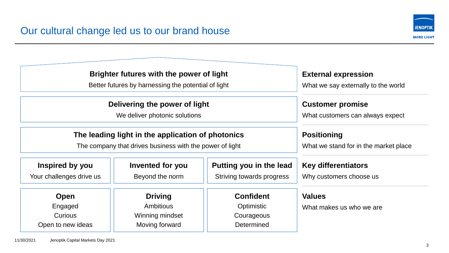

| <b>Brighter futures with the power of light</b><br>Better futures by harnessing the potential of light |                  |                           | <b>External expression</b><br>What we say externally to the world |
|--------------------------------------------------------------------------------------------------------|------------------|---------------------------|-------------------------------------------------------------------|
|                                                                                                        |                  |                           |                                                                   |
| We deliver photonic solutions                                                                          |                  |                           | What customers can always expect                                  |
| The leading light in the application of photonics                                                      |                  |                           | <b>Positioning</b>                                                |
| The company that drives business with the power of light                                               |                  |                           | What we stand for in the market place                             |
| Inspired by you                                                                                        | Invented for you | Putting you in the lead   | <b>Key differentiators</b>                                        |
| Your challenges drive us                                                                               | Beyond the norm  | Striving towards progress | Why customers choose us                                           |
| <b>Open</b>                                                                                            | <b>Driving</b>   | <b>Confident</b>          | <b>Values</b>                                                     |
| Engaged                                                                                                | <b>Ambitious</b> | Optimistic                | What makes us who we are                                          |
| <b>Curious</b>                                                                                         | Winning mindset  | Courageous                |                                                                   |
| Open to new ideas                                                                                      | Moving forward   | Determined                |                                                                   |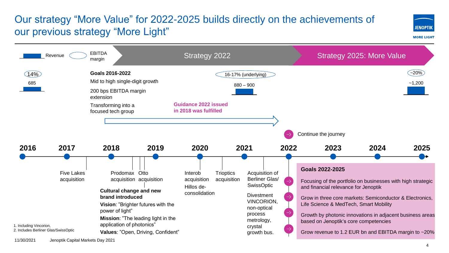## Our strategy "More Value" for 2022-2025 builds directly on the achievements of our previous strategy "More Light"





11/30/2021 Jenoptik Capital Markets Day 2021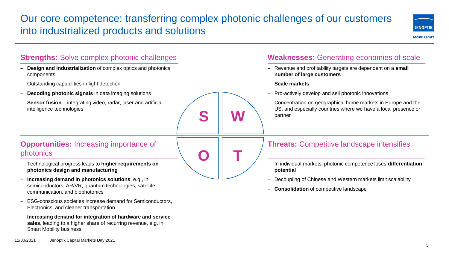## Our core competence: transferring complex photonic challenges of our customers into industrialized products and solutions



#### **S W O T Opportunities:** Increasing importance of photonics − Technological progress leads to **higher requirements on photonics design and manufacturing** − **Increasing demand in photonics solutions**, e.g., in semiconductors, AR/VR, quantum technologies, satellite communication, and biophotonics ESG-conscious societies increase demand for Semiconductors, Electronics, and cleaner transportation − **Increasing demand for integration of hardware and service sales**, leading to a higher share of recurring revenue, e.g. in Smart Mobility business **Strengths:** Solve complex photonic challenges **Design and industrialization** of complex optics and photonics components − Outstanding capabilities in light detection **Decoding photonic signals** in data imaging solutions **Sensor fusion** – integrating video, radar, laser and artificial intelligence technologies **Weaknesses:** Generating economies of scale − Revenue and profitability targets are dependent on a **small number of large customers** − **Scale markets** − Pro-actively develop and sell photonic innovations − Concentration on geographical home markets in Europe and the US, and especially countries where we have a local presence or partner **Threats:** Competitive landscape intensifies − In individual markets, photonic competence loses **differentiation potential** Decoupling of Chinese and Western markets limit scalability − **Consolidation** of competitive landscape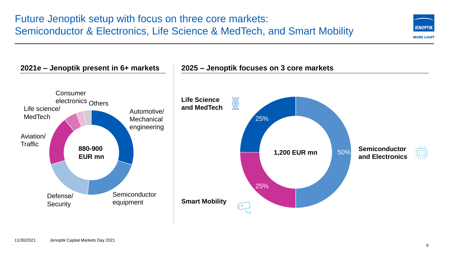

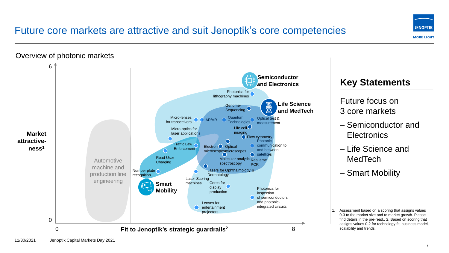### Future core markets are attractive and suit Jenoptik's core competencies



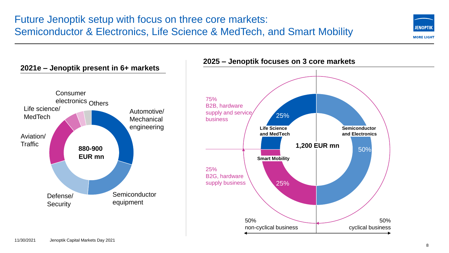### Future Jenoptik setup with focus on three core markets: Semiconductor & Electronics, Life Science & MedTech, and Smart Mobility





### **2025 – Jenoptik focuses on 3 core markets**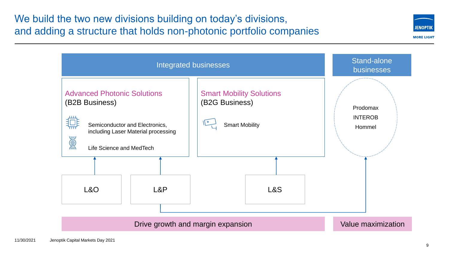### We build the two new divisions building on today's divisions, and adding a structure that holds non-photonic portfolio companies



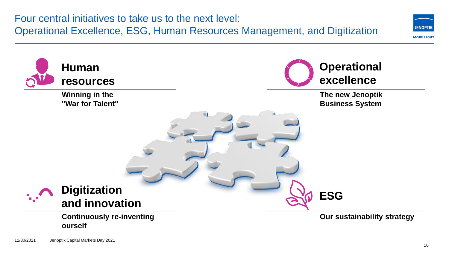

### **Continuously re-inventing ourself**

**Our sustainability strategy**